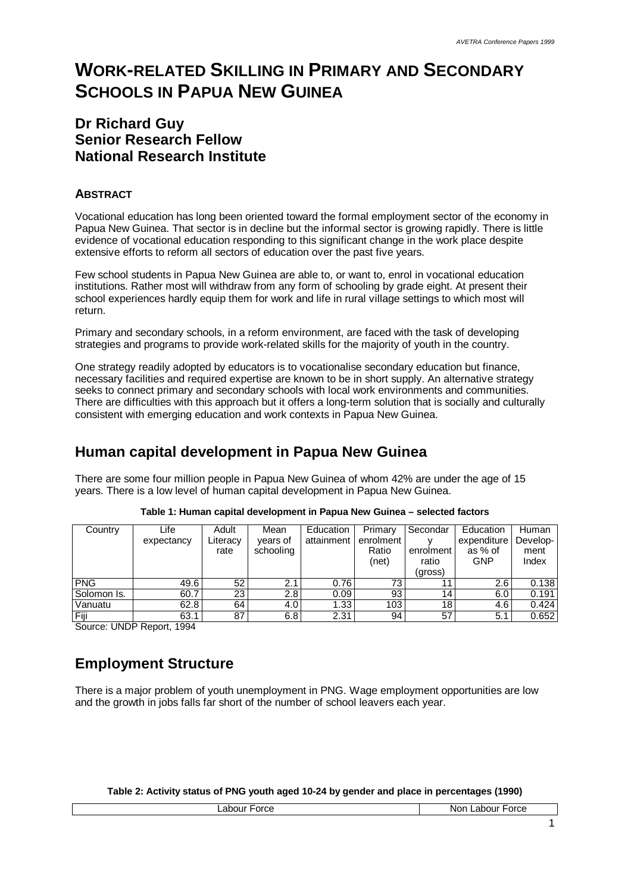# **WORK-RELATED SKILLING IN PRIMARY AND SECONDARY SCHOOLS IN PAPUA NEW GUINEA**

### **Dr Richard Guy Senior Research Fellow National Research Institute**

### **ABSTRACT**

Vocational education has long been oriented toward the formal employment sector of the economy in Papua New Guinea. That sector is in decline but the informal sector is growing rapidly. There is little evidence of vocational education responding to this significant change in the work place despite extensive efforts to reform all sectors of education over the past five years.

Few school students in Papua New Guinea are able to, or want to, enrol in vocational education institutions. Rather most will withdraw from any form of schooling by grade eight. At present their school experiences hardly equip them for work and life in rural village settings to which most will return.

Primary and secondary schools, in a reform environment, are faced with the task of developing strategies and programs to provide work-related skills for the majority of youth in the country.

One strategy readily adopted by educators is to vocationalise secondary education but finance, necessary facilities and required expertise are known to be in short supply. An alternative strategy seeks to connect primary and secondary schools with local work environments and communities. There are difficulties with this approach but it offers a long-term solution that is socially and culturally consistent with emerging education and work contexts in Papua New Guinea.

# **Human capital development in Papua New Guinea**

There are some four million people in Papua New Guinea of whom 42% are under the age of 15 years. There is a low level of human capital development in Papua New Guinea.

| Country     | Life                        | Adult    | Mean      | Education  | Primary   | Secondar  | Education   | Human    |
|-------------|-----------------------------|----------|-----------|------------|-----------|-----------|-------------|----------|
|             | expectancy                  | Literacy | vears of  | attainment | enrolment |           | expenditure | Develop- |
|             |                             | rate     | schooling |            | Ratio     | enrolment | as % of     | ment     |
|             |                             |          |           |            | (net)     | ratio     | GNP         | Index    |
|             |                             |          |           |            |           | (gross)   |             |          |
| <b>PNG</b>  | 49.6                        | 52       | 2.1       | 0.76       | 73        | 1         | 2.6         | 0.138    |
| Solomon Is. | 60.7                        | 23       | 2.8       | 0.09       | 93        | 14        | 6.0         | 0.191    |
| Vanuatu     | 62.8                        | 64       | 4.0       | 1.33       | 103       | 18        | 4.6         | 0.424    |
| Fiji        | 63.1                        | 87       | 6.8       | 2.31       | 94        | 57        | 5.1         | 0.652    |
| $\sim$<br>  | $\sim$ $\sim$ $\sim$ $\sim$ |          |           |            |           |           |             |          |

|  |  |  |  | Table 1: Human capital development in Papua New Guinea - selected factors |  |
|--|--|--|--|---------------------------------------------------------------------------|--|
|--|--|--|--|---------------------------------------------------------------------------|--|

Source: UNDP Report, 1994

# **Employment Structure**

There is a major problem of youth unemployment in PNG. Wage employment opportunities are low and the growth in jobs falls far short of the number of school leavers each year.

**Table 2: Activity status of PNG youth aged 10-24 by gender and place in percentages (1990)**

| rrc<br>orce<br>-- | rron<br>.<br>Nor<br>лн<br>orce |
|-------------------|--------------------------------|
|                   |                                |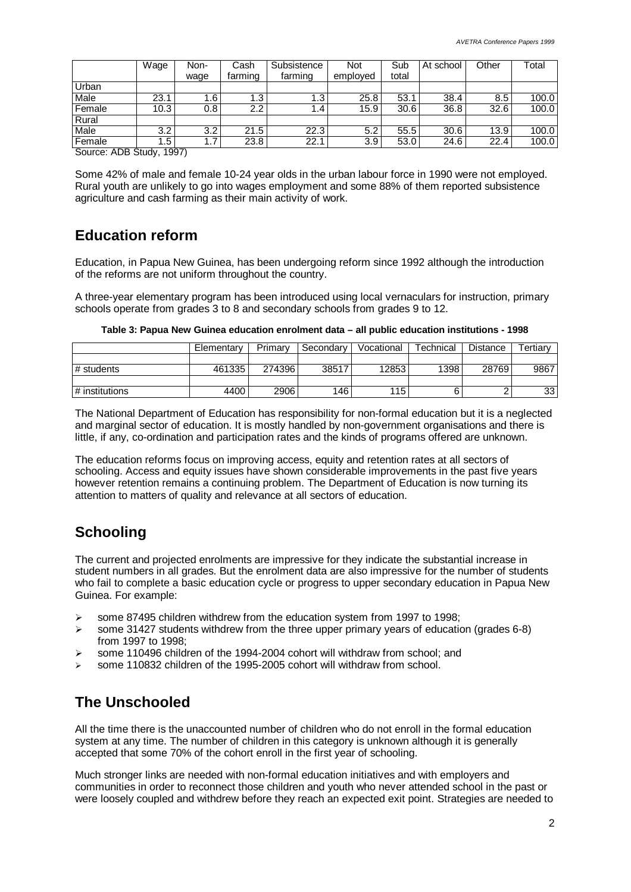|        | Wage | Non- | Subsistence<br>Cash |         | Not      | Sub   | At school | Other | Total |
|--------|------|------|---------------------|---------|----------|-------|-----------|-------|-------|
|        |      | wage | farming             | farming | emploved | total |           |       |       |
| Urban  |      |      |                     |         |          |       |           |       |       |
| Male   | 23.1 | ا 6، | $\overline{1.3}$    | 1.3     | 25.8     | 53.1  | 38.4      | 8.5   | 100.0 |
| Female | 10.3 | 0.8  | 2.2                 | 1.4     | 15.9     | 30.6  | 36.8      | 32.6  | 100.0 |
| Rural  |      |      |                     |         |          |       |           |       |       |
| Male   | 3.2  | 3.2  | 21.5                | 22.3    | 5.2      | 55.5  | 30.6      | 13.9  | 100.0 |
| Female | . 5  | ۱.7  | 23.8                | 22.1    | 3.9      | 53.0  | 24.6      | 22.4  | 100.0 |
|        |      |      |                     |         |          |       |           |       |       |

Source: ADB Study, 1997)

Some 42% of male and female 10-24 year olds in the urban labour force in 1990 were not employed. Rural youth are unlikely to go into wages employment and some 88% of them reported subsistence agriculture and cash farming as their main activity of work.

### **Education reform**

Education, in Papua New Guinea, has been undergoing reform since 1992 although the introduction of the reforms are not uniform throughout the country.

A three-year elementary program has been introduced using local vernaculars for instruction, primary schools operate from grades 3 to 8 and secondary schools from grades 9 to 12.

| Table 3: Papua New Guinea education enrolment data – all public education institutions - 1998 |  |  |
|-----------------------------------------------------------------------------------------------|--|--|
|-----------------------------------------------------------------------------------------------|--|--|

|                  | Elementary | Primary | ⊩Secondarv | Vocational | Technical | <b>Distance</b> | Tertiarv |
|------------------|------------|---------|------------|------------|-----------|-----------------|----------|
|                  |            |         |            |            |           |                 |          |
| # students       | 461335     | 274396  | 38517      | 12853      | 1398      | 28769           | 9867     |
|                  |            |         |            |            |           |                 |          |
| ∣ # institutions | 4400       | 2906    | 146        | 115        |           |                 | 33       |

The National Department of Education has responsibility for non-formal education but it is a neglected and marginal sector of education. It is mostly handled by non-government organisations and there is little, if any, co-ordination and participation rates and the kinds of programs offered are unknown.

The education reforms focus on improving access, equity and retention rates at all sectors of schooling. Access and equity issues have shown considerable improvements in the past five years however retention remains a continuing problem. The Department of Education is now turning its attention to matters of quality and relevance at all sectors of education.

# **Schooling**

The current and projected enrolments are impressive for they indicate the substantial increase in student numbers in all grades. But the enrolment data are also impressive for the number of students who fail to complete a basic education cycle or progress to upper secondary education in Papua New Guinea. For example:

- some 87495 children withdrew from the education system from 1997 to 1998;
- $\triangleright$  some 31427 students withdrew from the three upper primary years of education (grades 6-8) from 1997 to 1998;
- $\ge$  some 110496 children of the 1994-2004 cohort will withdraw from school; and
- some 110832 children of the 1995-2005 cohort will withdraw from school.

# **The Unschooled**

All the time there is the unaccounted number of children who do not enroll in the formal education system at any time. The number of children in this category is unknown although it is generally accepted that some 70% of the cohort enroll in the first year of schooling.

Much stronger links are needed with non-formal education initiatives and with employers and communities in order to reconnect those children and youth who never attended school in the past or were loosely coupled and withdrew before they reach an expected exit point. Strategies are needed to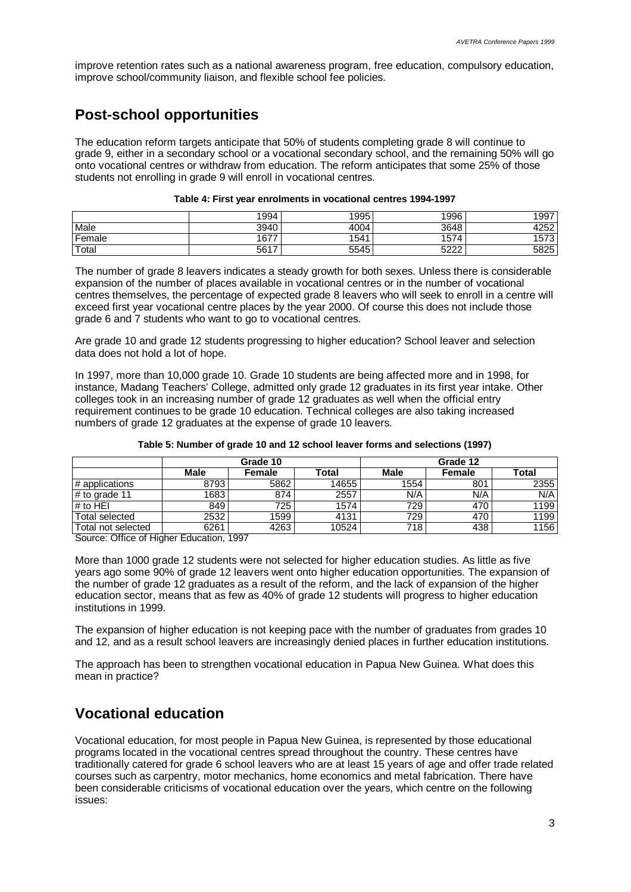improve retention rates such as a national awareness program, free education, compulsory education, improve school/community liaison, and flexible school fee policies.

# **Post-school opportunities**

The education reform targets anticipate that 50% of students completing grade 8 will continue to grade 9, either in a secondary school or a vocational secondary school, and the remaining 50% will go onto vocational centres or withdraw from education. The reform anticipates that some 25% of those students not enrolling in grade 9 will enroll in vocational centres.

#### **Table 4: First year enrolments in vocational centres 1994-1997**

|        | 1994 | 1995 | 1996        | 1997 |
|--------|------|------|-------------|------|
| Male   | 3940 | 4004 | 3648        | 4252 |
| Female | 1677 | 1541 | 1574        | 1573 |
| Total  | 5617 | 5545 | רמפ<br>عے ک | 5825 |

The number of grade 8 leavers indicates a steady growth for both sexes. Unless there is considerable expansion of the number of places available in vocational centres or in the number of vocational centres themselves, the percentage of expected grade 8 leavers who will seek to enroll in a centre will exceed first year vocational centre places by the year 2000. Of course this does not include those grade 6 and 7 students who want to go to vocational centres.

Are grade 10 and grade 12 students progressing to higher education? School leaver and selection data does not hold a lot of hope.

In 1997, more than 10,000 grade 10. Grade 10 students are being affected more and in 1998, for instance, Madang Teachers' College, admitted only grade 12 graduates in its first year intake. Other colleges took in an increasing number of grade 12 graduates as well when the official entry requirement continues to be grade 10 education. Technical colleges are also taking increased numbers of grade 12 graduates at the expense of grade 10 leavers.

|                    | Grade 10 |        |       | Grade 12    |        |       |  |
|--------------------|----------|--------|-------|-------------|--------|-------|--|
|                    | Male     | Female | Total | <b>Male</b> | Female | Total |  |
| # applications     | 8793     | 5862   | 14655 | 1554        | 801    | 2355  |  |
| # to grade 11      | 1683     | 874    | 2557  | N/A         | N/A    | N/A   |  |
| # to HEI           | 849      | 725    | 1574  | 729         | 470    | 1199  |  |
| Total selected     | 2532     | 1599   | 4131  | 729         | 470    | 1199  |  |
| Total not selected | 6261     | 4263   | 10524 | 718         | 438    | 1156  |  |

#### **Table 5: Number of grade 10 and 12 school leaver forms and selections (1997)**

Source: Office of Higher Education, 1997

More than 1000 grade 12 students were not selected for higher education studies. As little as five years ago some 90% of grade 12 leavers went onto higher education opportunities. The expansion of the number of grade 12 graduates as a result of the reform, and the lack of expansion of the higher education sector, means that as few as 40% of grade 12 students will progress to higher education institutions in 1999.

The expansion of higher education is not keeping pace with the number of graduates from grades 10 and 12, and as a result school leavers are increasingly denied places in further education institutions.

The approach has been to strengthen vocational education in Papua New Guinea. What does this mean in practice?

### **Vocational education**

Vocational education, for most people in Papua New Guinea, is represented by those educational programs located in the vocational centres spread throughout the country. These centres have traditionally catered for grade 6 school leavers who are at least 15 years of age and offer trade related courses such as carpentry, motor mechanics, home economics and metal fabrication. There have been considerable criticisms of vocational education over the years, which centre on the following issues: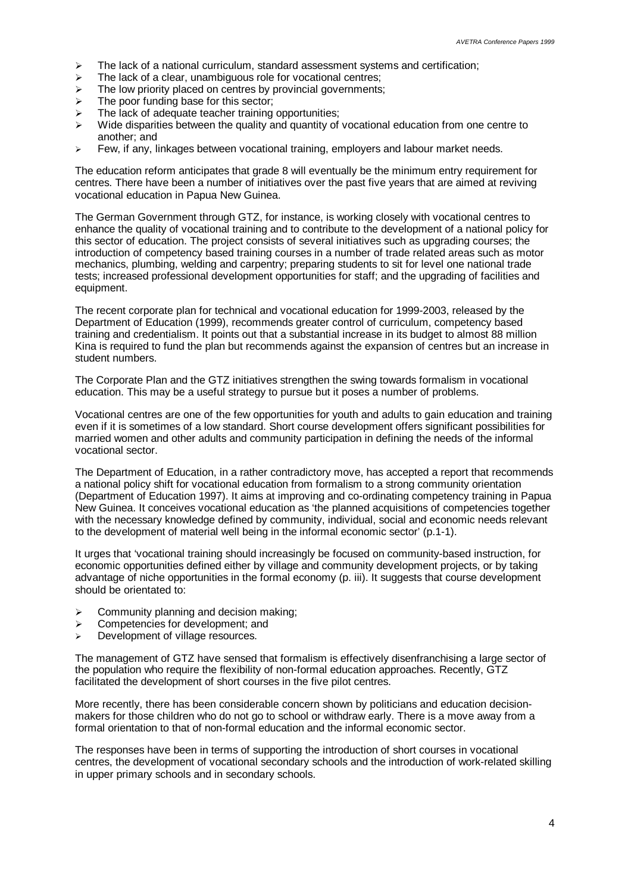- $\ge$  The lack of a national curriculum, standard assessment systems and certification;<br>  $\ge$  The lack of a clear, unambiguous role for vocational centres:
- The lack of a clear, unambiguous role for vocational centres;
- $\triangleright$  The low priority placed on centres by provincial governments;
- $\triangleright$  The poor funding base for this sector:
- $\triangleright$  The lack of adequate teacher training opportunities;
- $\triangleright$  Wide disparities between the quality and quantity of vocational education from one centre to another; and
- $\geq$  Few, if any, linkages between vocational training, employers and labour market needs.

The education reform anticipates that grade 8 will eventually be the minimum entry requirement for centres. There have been a number of initiatives over the past five years that are aimed at reviving vocational education in Papua New Guinea.

The German Government through GTZ, for instance, is working closely with vocational centres to enhance the quality of vocational training and to contribute to the development of a national policy for this sector of education. The project consists of several initiatives such as upgrading courses; the introduction of competency based training courses in a number of trade related areas such as motor mechanics, plumbing, welding and carpentry; preparing students to sit for level one national trade tests; increased professional development opportunities for staff; and the upgrading of facilities and equipment.

The recent corporate plan for technical and vocational education for 1999-2003, released by the Department of Education (1999), recommends greater control of curriculum, competency based training and credentialism. It points out that a substantial increase in its budget to almost 88 million Kina is required to fund the plan but recommends against the expansion of centres but an increase in student numbers.

The Corporate Plan and the GTZ initiatives strengthen the swing towards formalism in vocational education. This may be a useful strategy to pursue but it poses a number of problems.

Vocational centres are one of the few opportunities for youth and adults to gain education and training even if it is sometimes of a low standard. Short course development offers significant possibilities for married women and other adults and community participation in defining the needs of the informal vocational sector.

The Department of Education, in a rather contradictory move, has accepted a report that recommends a national policy shift for vocational education from formalism to a strong community orientation (Department of Education 1997). It aims at improving and co-ordinating competency training in Papua New Guinea. It conceives vocational education as 'the planned acquisitions of competencies together with the necessary knowledge defined by community, individual, social and economic needs relevant to the development of material well being in the informal economic sector' (p.1-1).

It urges that 'vocational training should increasingly be focused on community-based instruction, for economic opportunities defined either by village and community development projects, or by taking advantage of niche opportunities in the formal economy (p. iii). It suggests that course development should be orientated to:

- $\triangleright$  Community planning and decision making;
- $\triangleright$  Competencies for development; and
- $\geq$  Development of village resources.

The management of GTZ have sensed that formalism is effectively disenfranchising a large sector of the population who require the flexibility of non-formal education approaches. Recently, GTZ facilitated the development of short courses in the five pilot centres.

More recently, there has been considerable concern shown by politicians and education decisionmakers for those children who do not go to school or withdraw early. There is a move away from a formal orientation to that of non-formal education and the informal economic sector.

The responses have been in terms of supporting the introduction of short courses in vocational centres, the development of vocational secondary schools and the introduction of work-related skilling in upper primary schools and in secondary schools.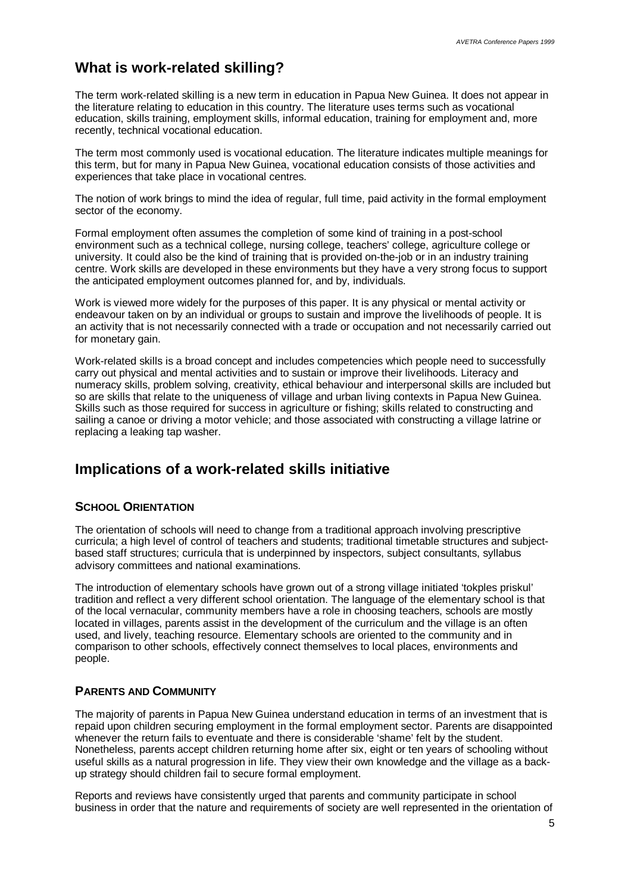### **What is work-related skilling?**

The term work-related skilling is a new term in education in Papua New Guinea. It does not appear in the literature relating to education in this country. The literature uses terms such as vocational education, skills training, employment skills, informal education, training for employment and, more recently, technical vocational education.

The term most commonly used is vocational education. The literature indicates multiple meanings for this term, but for many in Papua New Guinea, vocational education consists of those activities and experiences that take place in vocational centres.

The notion of work brings to mind the idea of regular, full time, paid activity in the formal employment sector of the economy.

Formal employment often assumes the completion of some kind of training in a post-school environment such as a technical college, nursing college, teachers' college, agriculture college or university. It could also be the kind of training that is provided on-the-job or in an industry training centre. Work skills are developed in these environments but they have a very strong focus to support the anticipated employment outcomes planned for, and by, individuals.

Work is viewed more widely for the purposes of this paper. It is any physical or mental activity or endeavour taken on by an individual or groups to sustain and improve the livelihoods of people. It is an activity that is not necessarily connected with a trade or occupation and not necessarily carried out for monetary gain.

Work-related skills is a broad concept and includes competencies which people need to successfully carry out physical and mental activities and to sustain or improve their livelihoods. Literacy and numeracy skills, problem solving, creativity, ethical behaviour and interpersonal skills are included but so are skills that relate to the uniqueness of village and urban living contexts in Papua New Guinea. Skills such as those required for success in agriculture or fishing; skills related to constructing and sailing a canoe or driving a motor vehicle; and those associated with constructing a village latrine or replacing a leaking tap washer.

### **Implications of a work-related skills initiative**

#### **SCHOOL ORIENTATION**

The orientation of schools will need to change from a traditional approach involving prescriptive curricula; a high level of control of teachers and students; traditional timetable structures and subjectbased staff structures; curricula that is underpinned by inspectors, subject consultants, syllabus advisory committees and national examinations.

The introduction of elementary schools have grown out of a strong village initiated 'tokples priskul' tradition and reflect a very different school orientation. The language of the elementary school is that of the local vernacular, community members have a role in choosing teachers, schools are mostly located in villages, parents assist in the development of the curriculum and the village is an often used, and lively, teaching resource. Elementary schools are oriented to the community and in comparison to other schools, effectively connect themselves to local places, environments and people.

#### **PARENTS AND COMMUNITY**

The majority of parents in Papua New Guinea understand education in terms of an investment that is repaid upon children securing employment in the formal employment sector. Parents are disappointed whenever the return fails to eventuate and there is considerable 'shame' felt by the student. Nonetheless, parents accept children returning home after six, eight or ten years of schooling without useful skills as a natural progression in life. They view their own knowledge and the village as a backup strategy should children fail to secure formal employment.

Reports and reviews have consistently urged that parents and community participate in school business in order that the nature and requirements of society are well represented in the orientation of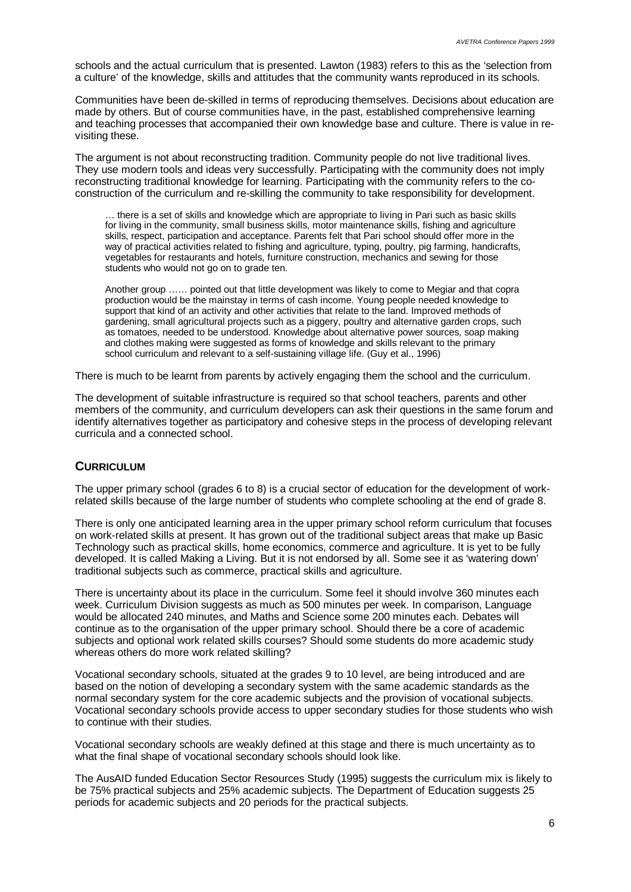schools and the actual curriculum that is presented. Lawton (1983) refers to this as the 'selection from a culture' of the knowledge, skills and attitudes that the community wants reproduced in its schools.

Communities have been de-skilled in terms of reproducing themselves. Decisions about education are made by others. But of course communities have, in the past, established comprehensive learning and teaching processes that accompanied their own knowledge base and culture. There is value in revisiting these.

The argument is not about reconstructing tradition. Community people do not live traditional lives. They use modern tools and ideas very successfully. Participating with the community does not imply reconstructing traditional knowledge for learning. Participating with the community refers to the coconstruction of the curriculum and re-skilling the community to take responsibility for development.

… there is a set of skills and knowledge which are appropriate to living in Pari such as basic skills for living in the community, small business skills, motor maintenance skills, fishing and agriculture skills, respect, participation and acceptance. Parents felt that Pari school should offer more in the way of practical activities related to fishing and agriculture, typing, poultry, pig farming, handicrafts, vegetables for restaurants and hotels, furniture construction, mechanics and sewing for those students who would not go on to grade ten.

Another group …… pointed out that little development was likely to come to Megiar and that copra production would be the mainstay in terms of cash income. Young people needed knowledge to support that kind of an activity and other activities that relate to the land. Improved methods of gardening, small agricultural projects such as a piggery, poultry and alternative garden crops, such as tomatoes, needed to be understood. Knowledge about alternative power sources, soap making and clothes making were suggested as forms of knowledge and skills relevant to the primary school curriculum and relevant to a self-sustaining village life. (Guy et al., 1996)

There is much to be learnt from parents by actively engaging them the school and the curriculum.

The development of suitable infrastructure is required so that school teachers, parents and other members of the community, and curriculum developers can ask their questions in the same forum and identify alternatives together as participatory and cohesive steps in the process of developing relevant curricula and a connected school.

#### **CURRICULUM**

The upper primary school (grades 6 to 8) is a crucial sector of education for the development of workrelated skills because of the large number of students who complete schooling at the end of grade 8.

There is only one anticipated learning area in the upper primary school reform curriculum that focuses on work-related skills at present. It has grown out of the traditional subject areas that make up Basic Technology such as practical skills, home economics, commerce and agriculture. It is yet to be fully developed. It is called Making a Living. But it is not endorsed by all. Some see it as 'watering down' traditional subjects such as commerce, practical skills and agriculture.

There is uncertainty about its place in the curriculum. Some feel it should involve 360 minutes each week. Curriculum Division suggests as much as 500 minutes per week. In comparison, Language would be allocated 240 minutes, and Maths and Science some 200 minutes each. Debates will continue as to the organisation of the upper primary school. Should there be a core of academic subjects and optional work related skills courses? Should some students do more academic study whereas others do more work related skilling?

Vocational secondary schools, situated at the grades 9 to 10 level, are being introduced and are based on the notion of developing a secondary system with the same academic standards as the normal secondary system for the core academic subjects and the provision of vocational subjects. Vocational secondary schools provide access to upper secondary studies for those students who wish to continue with their studies.

Vocational secondary schools are weakly defined at this stage and there is much uncertainty as to what the final shape of vocational secondary schools should look like.

The AusAID funded Education Sector Resources Study (1995) suggests the curriculum mix is likely to be 75% practical subjects and 25% academic subjects. The Department of Education suggests 25 periods for academic subjects and 20 periods for the practical subjects.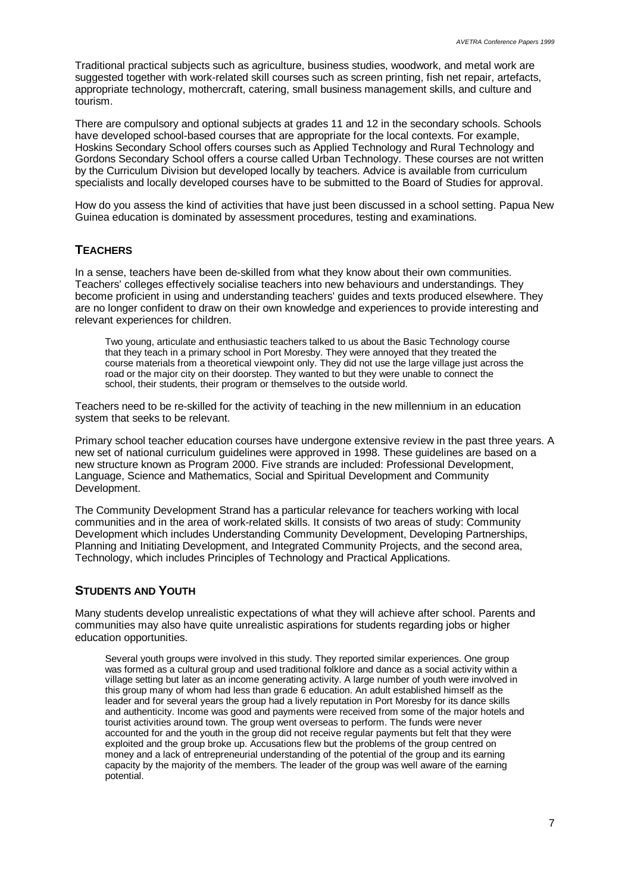Traditional practical subjects such as agriculture, business studies, woodwork, and metal work are suggested together with work-related skill courses such as screen printing, fish net repair, artefacts, appropriate technology, mothercraft, catering, small business management skills, and culture and tourism.

There are compulsory and optional subjects at grades 11 and 12 in the secondary schools. Schools have developed school-based courses that are appropriate for the local contexts. For example, Hoskins Secondary School offers courses such as Applied Technology and Rural Technology and Gordons Secondary School offers a course called Urban Technology. These courses are not written by the Curriculum Division but developed locally by teachers. Advice is available from curriculum specialists and locally developed courses have to be submitted to the Board of Studies for approval.

How do you assess the kind of activities that have just been discussed in a school setting. Papua New Guinea education is dominated by assessment procedures, testing and examinations.

### **TEACHERS**

In a sense, teachers have been de-skilled from what they know about their own communities. Teachers' colleges effectively socialise teachers into new behaviours and understandings. They become proficient in using and understanding teachers' guides and texts produced elsewhere. They are no longer confident to draw on their own knowledge and experiences to provide interesting and relevant experiences for children.

Two young, articulate and enthusiastic teachers talked to us about the Basic Technology course that they teach in a primary school in Port Moresby. They were annoyed that they treated the course materials from a theoretical viewpoint only. They did not use the large village just across the road or the major city on their doorstep. They wanted to but they were unable to connect the school, their students, their program or themselves to the outside world.

Teachers need to be re-skilled for the activity of teaching in the new millennium in an education system that seeks to be relevant.

Primary school teacher education courses have undergone extensive review in the past three years. A new set of national curriculum guidelines were approved in 1998. These guidelines are based on a new structure known as Program 2000. Five strands are included: Professional Development, Language, Science and Mathematics, Social and Spiritual Development and Community Development.

The Community Development Strand has a particular relevance for teachers working with local communities and in the area of work-related skills. It consists of two areas of study: Community Development which includes Understanding Community Development, Developing Partnerships, Planning and Initiating Development, and Integrated Community Projects, and the second area, Technology, which includes Principles of Technology and Practical Applications.

### **STUDENTS AND YOUTH**

Many students develop unrealistic expectations of what they will achieve after school. Parents and communities may also have quite unrealistic aspirations for students regarding jobs or higher education opportunities.

Several youth groups were involved in this study. They reported similar experiences. One group was formed as a cultural group and used traditional folklore and dance as a social activity within a village setting but later as an income generating activity. A large number of youth were involved in this group many of whom had less than grade 6 education. An adult established himself as the leader and for several years the group had a lively reputation in Port Moresby for its dance skills and authenticity. Income was good and payments were received from some of the major hotels and tourist activities around town. The group went overseas to perform. The funds were never accounted for and the youth in the group did not receive regular payments but felt that they were exploited and the group broke up. Accusations flew but the problems of the group centred on money and a lack of entrepreneurial understanding of the potential of the group and its earning capacity by the majority of the members. The leader of the group was well aware of the earning potential.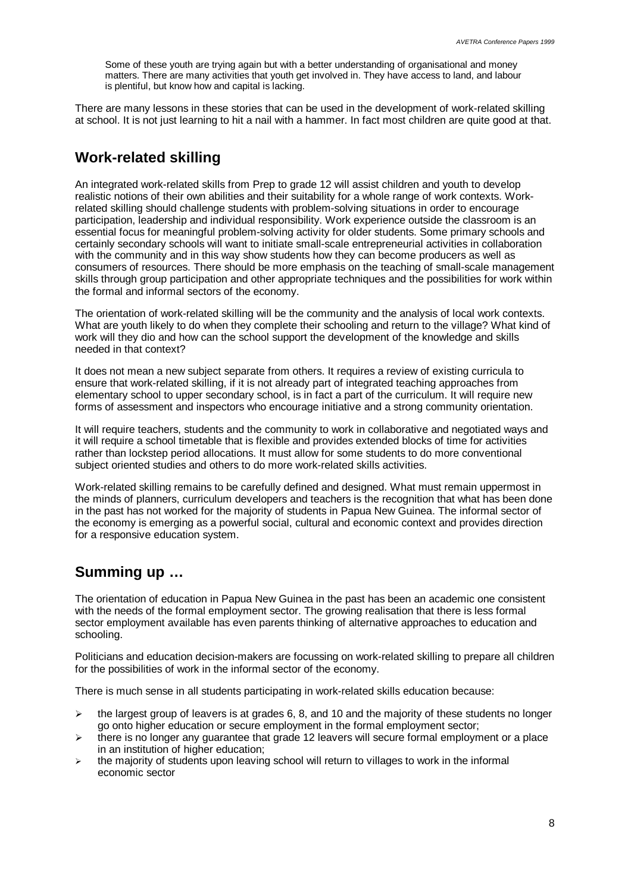Some of these youth are trying again but with a better understanding of organisational and money matters. There are many activities that youth get involved in. They have access to land, and labour is plentiful, but know how and capital is lacking.

There are many lessons in these stories that can be used in the development of work-related skilling at school. It is not just learning to hit a nail with a hammer. In fact most children are quite good at that.

### **Work-related skilling**

An integrated work-related skills from Prep to grade 12 will assist children and youth to develop realistic notions of their own abilities and their suitability for a whole range of work contexts. Workrelated skilling should challenge students with problem-solving situations in order to encourage participation, leadership and individual responsibility. Work experience outside the classroom is an essential focus for meaningful problem-solving activity for older students. Some primary schools and certainly secondary schools will want to initiate small-scale entrepreneurial activities in collaboration with the community and in this way show students how they can become producers as well as consumers of resources. There should be more emphasis on the teaching of small-scale management skills through group participation and other appropriate techniques and the possibilities for work within the formal and informal sectors of the economy.

The orientation of work-related skilling will be the community and the analysis of local work contexts. What are youth likely to do when they complete their schooling and return to the village? What kind of work will they dio and how can the school support the development of the knowledge and skills needed in that context?

It does not mean a new subject separate from others. It requires a review of existing curricula to ensure that work-related skilling, if it is not already part of integrated teaching approaches from elementary school to upper secondary school, is in fact a part of the curriculum. It will require new forms of assessment and inspectors who encourage initiative and a strong community orientation.

It will require teachers, students and the community to work in collaborative and negotiated ways and it will require a school timetable that is flexible and provides extended blocks of time for activities rather than lockstep period allocations. It must allow for some students to do more conventional subject oriented studies and others to do more work-related skills activities.

Work-related skilling remains to be carefully defined and designed. What must remain uppermost in the minds of planners, curriculum developers and teachers is the recognition that what has been done in the past has not worked for the majority of students in Papua New Guinea. The informal sector of the economy is emerging as a powerful social, cultural and economic context and provides direction for a responsive education system.

# **Summing up …**

The orientation of education in Papua New Guinea in the past has been an academic one consistent with the needs of the formal employment sector. The growing realisation that there is less formal sector employment available has even parents thinking of alternative approaches to education and schooling.

Politicians and education decision-makers are focussing on work-related skilling to prepare all children for the possibilities of work in the informal sector of the economy.

There is much sense in all students participating in work-related skills education because:

- $\geq$  the largest group of leavers is at grades 6, 8, and 10 and the majority of these students no longer go onto higher education or secure employment in the formal employment sector;
- $\triangleright$  there is no longer any quarantee that grade 12 leavers will secure formal employment or a place in an institution of higher education:
- $\triangleright$  the majority of students upon leaving school will return to villages to work in the informal economic sector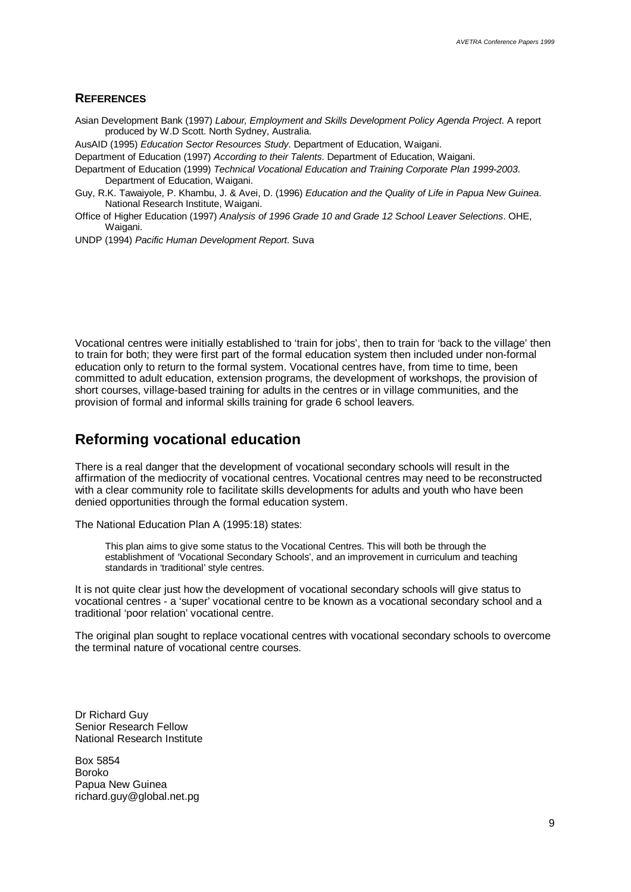#### **REFERENCES**

Asian Development Bank (1997) *Labour, Employment and Skills Development Policy Agenda Project*. A report produced by W.D Scott. North Sydney, Australia.

AusAID (1995) *Education Sector Resources Study*. Department of Education, Waigani.

Department of Education (1997) *According to their Talents*. Department of Education, Waigani.

Department of Education (1999) *Technical Vocational Education and Training Corporate Plan 1999-2003*. Department of Education, Waigani.

- Guy, R.K. Tawaiyole, P. Khambu, J. & Avei, D. (1996) *Education and the Quality of Life in Papua New Guinea*. National Research Institute, Waigani.
- Office of Higher Education (1997) *Analysis of 1996 Grade 10 and Grade 12 School Leaver Selections*. OHE, Waigani.

UNDP (1994) *Pacific Human Development Report*. Suva

Vocational centres were initially established to 'train for jobs', then to train for 'back to the village' then to train for both; they were first part of the formal education system then included under non-formal education only to return to the formal system. Vocational centres have, from time to time, been committed to adult education, extension programs, the development of workshops, the provision of short courses, village-based training for adults in the centres or in village communities, and the provision of formal and informal skills training for grade 6 school leavers.

### **Reforming vocational education**

There is a real danger that the development of vocational secondary schools will result in the affirmation of the mediocrity of vocational centres. Vocational centres may need to be reconstructed with a clear community role to facilitate skills developments for adults and youth who have been denied opportunities through the formal education system.

The National Education Plan A (1995:18) states:

This plan aims to give some status to the Vocational Centres. This will both be through the establishment of 'Vocational Secondary Schools', and an improvement in curriculum and teaching standards in 'traditional' style centres.

It is not quite clear just how the development of vocational secondary schools will give status to vocational centres - a 'super' vocational centre to be known as a vocational secondary school and a traditional 'poor relation' vocational centre.

The original plan sought to replace vocational centres with vocational secondary schools to overcome the terminal nature of vocational centre courses.

Dr Richard Guy Senior Research Fellow National Research Institute

Box 5854 Boroko Papua New Guinea richard.guy@global.net.pg